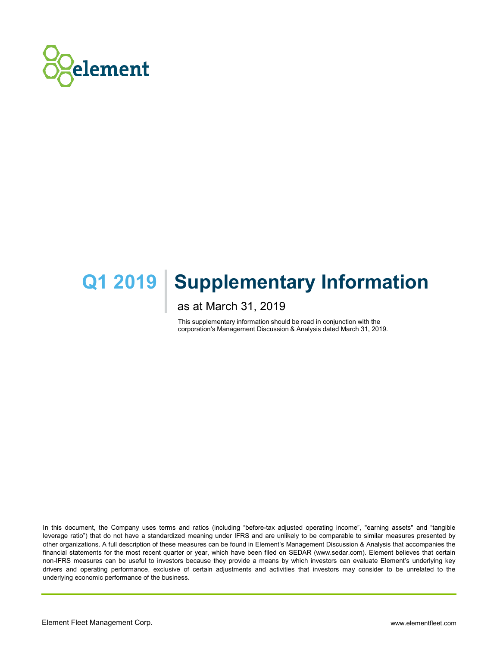

# **Q1 2019 | Supplementary Information**

as at March 31, 2019

This supplementary information should be read in conjunction with the corporation's Management Discussion & Analysis dated March 31, 2019.

In this document, the Company uses terms and ratios (including "before-tax adjusted operating income", "earning assets" and "tangible leverage ratio") that do not have a standardized meaning under IFRS and are unlikely to be comparable to similar measures presented by other organizations. A full description of these measures can be found in Element's Management Discussion & Analysis that accompanies the financial statements for the most recent quarter or year, which have been filed on SEDAR (www.sedar.com). Element believes that certain non-IFRS measures can be useful to investors because they provide a means by which investors can evaluate Element's underlying key drivers and operating performance, exclusive of certain adjustments and activities that investors may consider to be unrelated to the underlying economic performance of the business.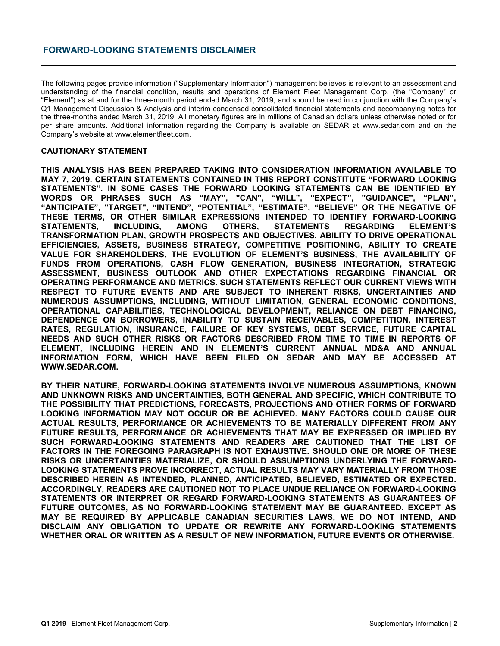The following pages provide information ("Supplementary Information") management believes is relevant to an assessment and understanding of the financial condition, results and operations of Element Fleet Management Corp. (the "Company" or "Element") as at and for the three-month period ended March 31, 2019, and should be read in conjunction with the Company's Q1 Management Discussion & Analysis and interim condensed consolidated financial statements and accompanying notes for the three-months ended March 31, 2019. All monetary figures are in millions of Canadian dollars unless otherwise noted or for per share amounts. Additional information regarding the Company is available on SEDAR at www.sedar.com and on the Company's website at www.elementfleet.com.

#### **CAUTIONARY STATEMENT**

**THIS ANALYSIS HAS BEEN PREPARED TAKING INTO CONSIDERATION INFORMATION AVAILABLE TO MAY 7, 2019. CERTAIN STATEMENTS CONTAINED IN THIS REPORT CONSTITUTE "FORWARD LOOKING STATEMENTS". IN SOME CASES THE FORWARD LOOKING STATEMENTS CAN BE IDENTIFIED BY WORDS OR PHRASES SUCH AS "MAY", "CAN", "WILL", "EXPECT", "GUIDANCE", "PLAN", "ANTICIPATE", "TARGET", "INTEND", "POTENTIAL", "ESTIMATE", "BELIEVE" OR THE NEGATIVE OF THESE TERMS, OR OTHER SIMILAR EXPRESSIONS INTENDED TO IDENTIFY FORWARD-LOOKING STATEMENTS, INCLUDING, AMONG OTHERS, STATEMENTS REGARDING ELEMENT'S TRANSFORMATION PLAN, GROWTH PROSPECTS AND OBJECTIVES, ABILITY TO DRIVE OPERATIONAL EFFICIENCIES, ASSETS, BUSINESS STRATEGY, COMPETITIVE POSITIONING, ABILITY TO CREATE VALUE FOR SHAREHOLDERS, THE EVOLUTION OF ELEMENT'S BUSINESS, THE AVAILABILITY OF FUNDS FROM OPERATIONS, CASH FLOW GENERATION, BUSINESS INTEGRATION, STRATEGIC ASSESSMENT, BUSINESS OUTLOOK AND OTHER EXPECTATIONS REGARDING FINANCIAL OR OPERATING PERFORMANCE AND METRICS. SUCH STATEMENTS REFLECT OUR CURRENT VIEWS WITH RESPECT TO FUTURE EVENTS AND ARE SUBJECT TO INHERENT RISKS, UNCERTAINTIES AND NUMEROUS ASSUMPTIONS, INCLUDING, WITHOUT LIMITATION, GENERAL ECONOMIC CONDITIONS, OPERATIONAL CAPABILITIES, TECHNOLOGICAL DEVELOPMENT, RELIANCE ON DEBT FINANCING, DEPENDENCE ON BORROWERS, INABILITY TO SUSTAIN RECEIVABLES, COMPETITION, INTEREST RATES, REGULATION, INSURANCE, FAILURE OF KEY SYSTEMS, DEBT SERVICE, FUTURE CAPITAL NEEDS AND SUCH OTHER RISKS OR FACTORS DESCRIBED FROM TIME TO TIME IN REPORTS OF ELEMENT, INCLUDING HEREIN AND IN ELEMENT'S CURRENT ANNUAL MD&A AND ANNUAL INFORMATION FORM, WHICH HAVE BEEN FILED ON SEDAR AND MAY BE ACCESSED AT WWW.SEDAR.COM.**

**BY THEIR NATURE, FORWARD-LOOKING STATEMENTS INVOLVE NUMEROUS ASSUMPTIONS, KNOWN AND UNKNOWN RISKS AND UNCERTAINTIES, BOTH GENERAL AND SPECIFIC, WHICH CONTRIBUTE TO THE POSSIBILITY THAT PREDICTIONS, FORECASTS, PROJECTIONS AND OTHER FORMS OF FORWARD LOOKING INFORMATION MAY NOT OCCUR OR BE ACHIEVED. MANY FACTORS COULD CAUSE OUR ACTUAL RESULTS, PERFORMANCE OR ACHIEVEMENTS TO BE MATERIALLY DIFFERENT FROM ANY FUTURE RESULTS, PERFORMANCE OR ACHIEVEMENTS THAT MAY BE EXPRESSED OR IMPLIED BY SUCH FORWARD-LOOKING STATEMENTS AND READERS ARE CAUTIONED THAT THE LIST OF FACTORS IN THE FOREGOING PARAGRAPH IS NOT EXHAUSTIVE. SHOULD ONE OR MORE OF THESE RISKS OR UNCERTAINTIES MATERIALIZE, OR SHOULD ASSUMPTIONS UNDERLYING THE FORWARD-LOOKING STATEMENTS PROVE INCORRECT, ACTUAL RESULTS MAY VARY MATERIALLY FROM THOSE DESCRIBED HEREIN AS INTENDED, PLANNED, ANTICIPATED, BELIEVED, ESTIMATED OR EXPECTED. ACCORDINGLY, READERS ARE CAUTIONED NOT TO PLACE UNDUE RELIANCE ON FORWARD-LOOKING STATEMENTS OR INTERPRET OR REGARD FORWARD-LOOKING STATEMENTS AS GUARANTEES OF FUTURE OUTCOMES, AS NO FORWARD-LOOKING STATEMENT MAY BE GUARANTEED. EXCEPT AS MAY BE REQUIRED BY APPLICABLE CANADIAN SECURITIES LAWS, WE DO NOT INTEND, AND DISCLAIM ANY OBLIGATION TO UPDATE OR REWRITE ANY FORWARD-LOOKING STATEMENTS WHETHER ORAL OR WRITTEN AS A RESULT OF NEW INFORMATION, FUTURE EVENTS OR OTHERWISE.**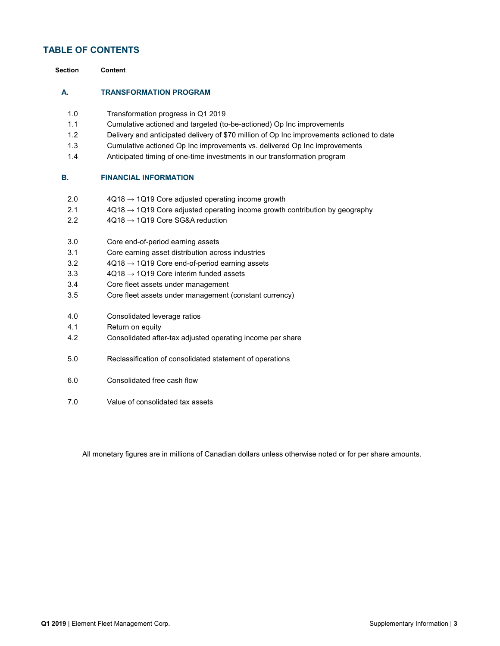# **TABLE OF CONTENTS**

| <b>Section</b> | <b>Content</b>                                                                            |
|----------------|-------------------------------------------------------------------------------------------|
| А.             | <b>TRANSFORMATION PROGRAM</b>                                                             |
| 1.0            | Transformation progress in Q1 2019                                                        |
| 1.1            | Cumulative actioned and targeted (to-be-actioned) Op Inc improvements                     |
| 1.2            | Delivery and anticipated delivery of \$70 million of Op Inc improvements actioned to date |
| 1.3            | Cumulative actioned Op Inc improvements vs. delivered Op Inc improvements                 |
| 1.4            | Anticipated timing of one-time investments in our transformation program                  |
| В.             | <b>FINANCIAL INFORMATION</b>                                                              |
| 2.0            | $4Q18 \rightarrow 1Q19$ Core adjusted operating income growth                             |
| 2.1            | $4Q18 \rightarrow 1Q19$ Core adjusted operating income growth contribution by geography   |
| 2.2            | $4Q18 \rightarrow 1Q19$ Core SG&A reduction                                               |
| 3.0            | Core end-of-period earning assets                                                         |
| 3.1            | Core earning asset distribution across industries                                         |
| 3.2            | $4Q18 \rightarrow 1Q19$ Core end-of-period earning assets                                 |
| 3.3            | $4Q18 \rightarrow 1Q19$ Core interim funded assets                                        |
| 3.4            | Core fleet assets under management                                                        |
| 3.5            | Core fleet assets under management (constant currency)                                    |
| 4.0            | Consolidated leverage ratios                                                              |
| 4.1            | Return on equity                                                                          |
| 4.2            | Consolidated after-tax adjusted operating income per share                                |
| 5.0            | Reclassification of consolidated statement of operations                                  |
| 6.0            | Consolidated free cash flow                                                               |
| 7.0            | Value of consolidated tax assets                                                          |
|                |                                                                                           |

All monetary figures are in millions of Canadian dollars unless otherwise noted or for per share amounts.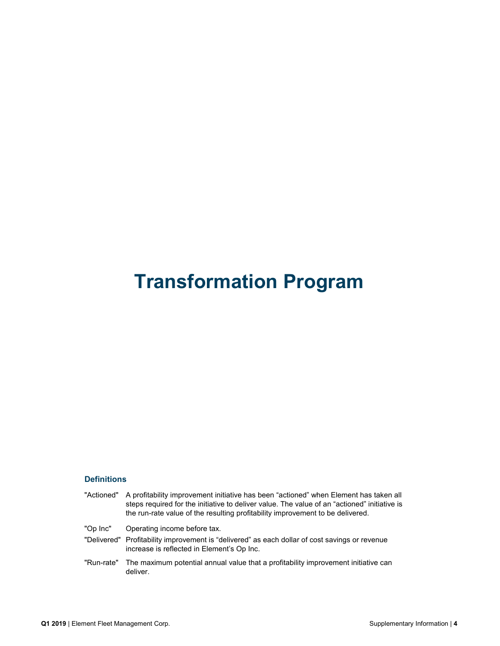# **Transformation Program**

# **Definitions**

| "Actioned" | A profitability improvement initiative has been "actioned" when Element has taken all<br>steps required for the initiative to deliver value. The value of an "actioned" initiative is<br>the run-rate value of the resulting profitability improvement to be delivered. |
|------------|-------------------------------------------------------------------------------------------------------------------------------------------------------------------------------------------------------------------------------------------------------------------------|
| "Op Inc"   | Operating income before tax.                                                                                                                                                                                                                                            |
|            | "Delivered" Profitability improvement is "delivered" as each dollar of cost savings or revenue<br>increase is reflected in Element's Op Inc.                                                                                                                            |
| "Run-rate" | The maximum potential annual value that a profitability improvement initiative can<br>deliver.                                                                                                                                                                          |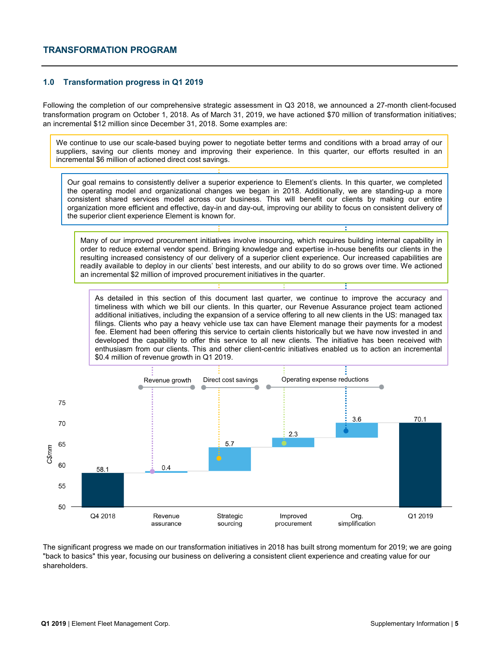#### **1.0 Transformation progress in Q1 2019**

Following the completion of our comprehensive strategic assessment in Q3 2018, we announced a 27-month client-focused transformation program on October 1, 2018. As of March 31, 2019, we have actioned \$70 million of transformation initiatives; an incremental \$12 million since December 31, 2018. Some examples are:

We continue to use our scale-based buying power to negotiate better terms and conditions with a broad array of our suppliers, saving our clients money and improving their experience. In this quarter, our efforts resulted in an incremental \$6 million of actioned direct cost savings.

Our goal remains to consistently deliver a superior experience to Element's clients. In this quarter, we completed the operating model and organizational changes we began in 2018. Additionally, we are standing-up a more consistent shared services model across our business. This will benefit our clients by making our entire organization more efficient and effective, day-in and day-out, improving our ability to focus on consistent delivery of the superior client experience Element is known for.

Many of our improved procurement initiatives involve insourcing, which requires building internal capability in order to reduce external vendor spend. Bringing knowledge and expertise in-house benefits our clients in the resulting increased consistency of our delivery of a superior client experience. Our increased capabilities are readily available to deploy in our clients' best interests, and our ability to do so grows over time. We actioned an incremental \$2 million of improved procurement initiatives in the quarter.

As detailed in this section of this document last quarter, we continue to improve the accuracy and timeliness with which we bill our clients. In this quarter, our Revenue Assurance project team actioned additional initiatives, including the expansion of a service offering to all new clients in the US: managed tax filings. Clients who pay a heavy vehicle use tax can have Element manage their payments for a modest fee. Element had been offering this service to certain clients historically but we have now invested in and developed the capability to offer this service to all new clients. The initiative has been received with enthusiasm from our clients. This and other client-centric initiatives enabled us to action an incremental \$0.4 million of revenue growth in Q1 2019.



The significant progress we made on our transformation initiatives in 2018 has built strong momentum for 2019; we are going "back to basics" this year, focusing our business on delivering a consistent client experience and creating value for our shareholders.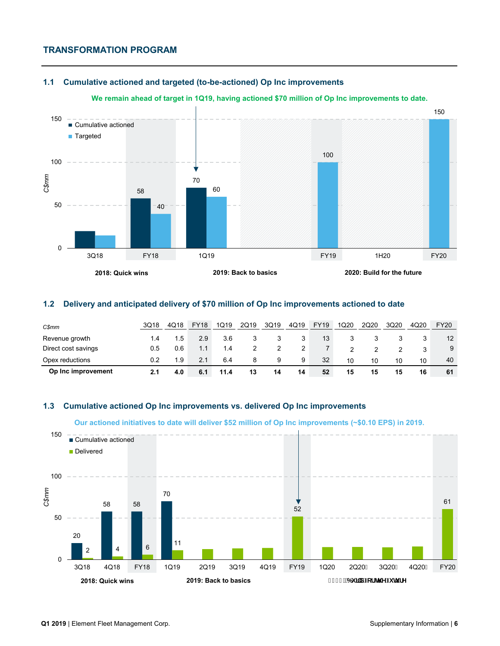# **TRANSFORMATION PROGRAM**

#### **1.1 Cumulative actioned and targeted (to-be-actioned) Op Inc improvements**

#### **We remain ahead of target in 1Q19, having actioned \$70 million of Op Inc improvements to date.**



### **1.2 Delivery and anticipated delivery of \$70 million of Op Inc improvements actioned to date**

| C\$mm               | 3Q18 | 4Q18 | <b>FY18</b> | 1Q19 | 2Q19 | 3Q19 | 4Q19 | <b>FY19</b> | 1Q20 | 2Q20 | 3Q20 | 4Q20 | <b>FY20</b> |
|---------------------|------|------|-------------|------|------|------|------|-------------|------|------|------|------|-------------|
| Revenue growth      | 1.4  | 1.5  | 2.9         | 3.6  |      |      |      | 13          |      |      |      |      | 12          |
| Direct cost savings | 0.5  | 0.6  | 1.1         | 1.4  |      |      |      |             |      |      |      |      | 9           |
| Opex reductions     | 0.2  | 1.9  | 2.1         | 6.4  | 8    |      | 9    | 32          | 10   | 10   | 10   | 10   | 40          |
| Op Inc improvement  | 2.1  | 4.0  | 6.1         | 11.4 | 13   | 14   | 14   | 52          | 15   | 15   | 15   | 16   | 61          |

# **1.3 Cumulative actioned Op Inc improvements vs. delivered Op Inc improvements**

**Our actioned initiatives to date will deliver \$52 million of Op Inc improvements (~\$0.10 EPS) in 2019.**

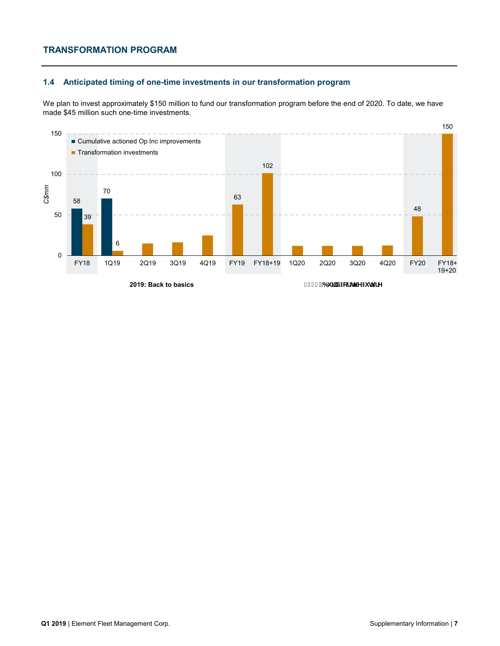# **TRANSFORMATION PROGRAM**

# **1.4 Anticipated timing of one-time investments in our transformation program**

We plan to invest approximately \$150 million to fund our transformation program before the end of 2020. To date, we have made \$45 million such one-time investments.



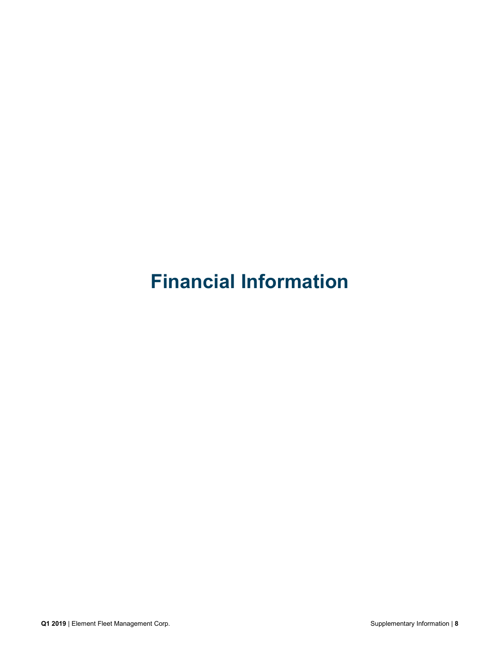# **Financial Information**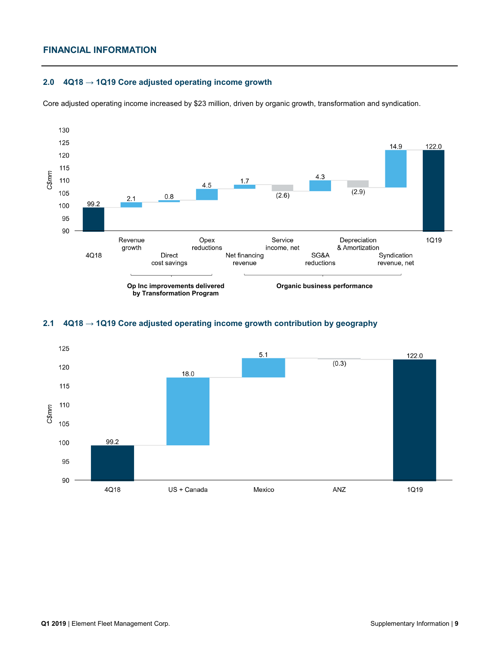### **2.0 4Q18 → 1Q19 Core adjusted operating income growth**

Core adjusted operating income increased by \$23 million, driven by organic growth, transformation and syndication.



### **2.1 4Q18 → 1Q19 Core adjusted operating income growth contribution by geography**

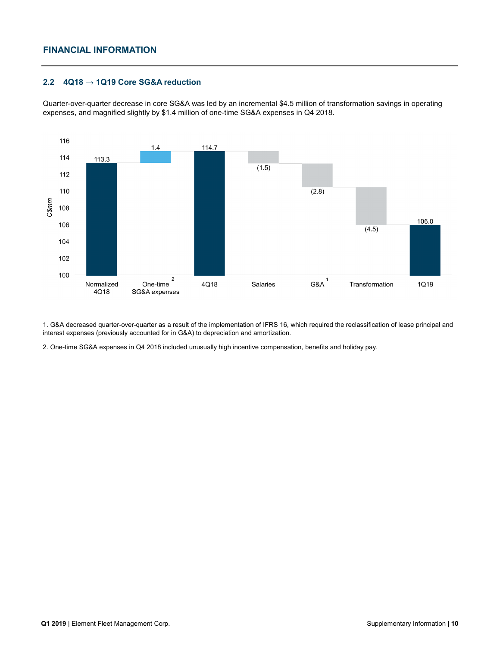#### **2.2 4Q18 → 1Q19 Core SG&A reduction**

Quarter-over-quarter decrease in core SG&A was led by an incremental \$4.5 million of transformation savings in operating expenses, and magnified slightly by \$1.4 million of one-time SG&A expenses in Q4 2018.



1. G&A decreased quarter-over-quarter as a result of the implementation of IFRS 16, which required the reclassification of lease principal and interest expenses (previously accounted for in G&A) to depreciation and amortization.

2. One-time SG&A expenses in Q4 2018 included unusually high incentive compensation, benefits and holiday pay.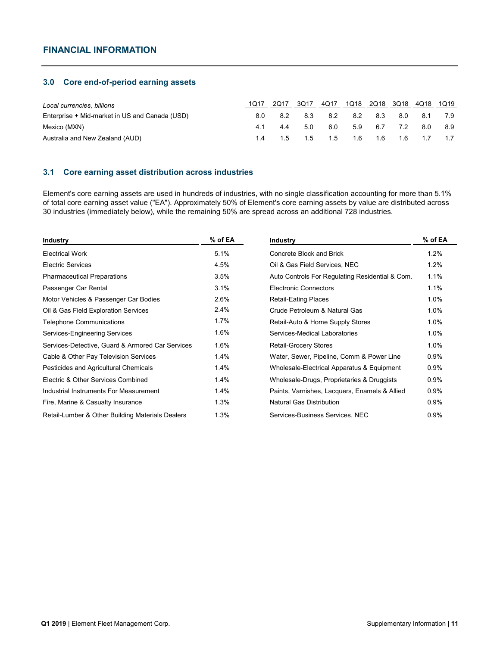#### **3.0 Core end-of-period earning assets**

| Local currencies, billions                     |     | 2017 | 3017 | 4Q17        | 1Q18 |       | 2Q18 3Q18 | 4Q18 | 1Q19 |
|------------------------------------------------|-----|------|------|-------------|------|-------|-----------|------|------|
| Enterprise + Mid-market in US and Canada (USD) | 8.0 | 8.2  | 8.3  | 8.2         | 8.2  | 8.3   | 8.0       | 8.1  | 7.9  |
| Mexico (MXN)                                   |     | 44   | 5.0  | 6.0         | 5.9  | 6.7   | 7.2       | 8.0  | 8.9  |
| Australia and New Zealand (AUD)                |     |      |      | 1.5 1.5 1.5 | 1.6  | - 1.6 | - 1.6     | 1.7  |      |

#### **3.1 Core earning asset distribution across industries**

Element's core earning assets are used in hundreds of industries, with no single classification accounting for more than 5.1% of total core earning asset value ("EA"). Approximately 50% of Element's core earning assets by value are distributed across 30 industries (immediately below), while the remaining 50% are spread across an additional 728 industries.

| <b>Industry</b>                                  | % of EA | <b>Industry</b>                                 | % of EA |
|--------------------------------------------------|---------|-------------------------------------------------|---------|
| <b>Electrical Work</b>                           | 5.1%    | Concrete Block and Brick                        | 1.2%    |
| <b>Electric Services</b>                         | 4.5%    | Oil & Gas Field Services, NEC                   | 1.2%    |
| <b>Pharmaceutical Preparations</b>               | 3.5%    | Auto Controls For Regulating Residential & Com. | 1.1%    |
| Passenger Car Rental                             | 3.1%    | <b>Electronic Connectors</b>                    | 1.1%    |
| Motor Vehicles & Passenger Car Bodies            | 2.6%    | <b>Retail-Eating Places</b>                     | 1.0%    |
| Oil & Gas Field Exploration Services             | 2.4%    | Crude Petroleum & Natural Gas                   | 1.0%    |
| <b>Telephone Communications</b>                  | 1.7%    | Retail-Auto & Home Supply Stores                | 1.0%    |
| Services-Engineering Services                    | 1.6%    | Services-Medical Laboratories                   | 1.0%    |
| Services-Detective, Guard & Armored Car Services | 1.6%    | Retail-Grocery Stores                           | 1.0%    |
| Cable & Other Pay Television Services            | 1.4%    | Water, Sewer, Pipeline, Comm & Power Line       | 0.9%    |
| Pesticides and Agricultural Chemicals            | 1.4%    | Wholesale-Electrical Apparatus & Equipment      | 0.9%    |
| Electric & Other Services Combined               | 1.4%    | Wholesale-Drugs, Proprietaries & Druggists      | $0.9\%$ |
| Industrial Instruments For Measurement           | 1.4%    | Paints, Varnishes, Lacquers, Enamels & Allied   | 0.9%    |
| Fire, Marine & Casualty Insurance                | 1.3%    | <b>Natural Gas Distribution</b>                 | 0.9%    |
| Retail-Lumber & Other Building Materials Dealers | 1.3%    | Services-Business Services, NEC                 | 0.9%    |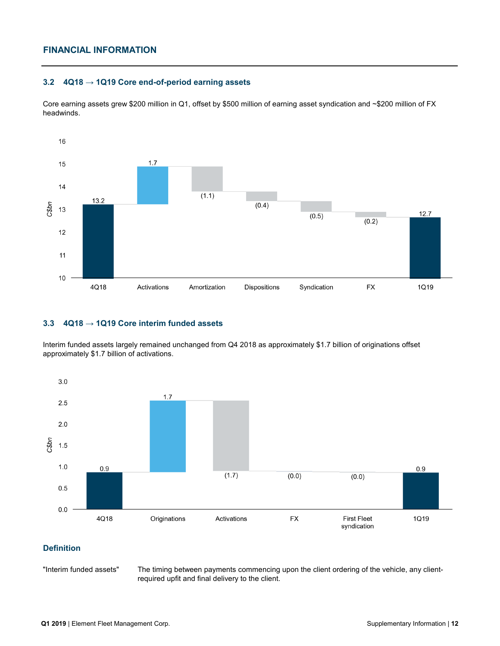### **3.2 4Q18 → 1Q19 Core end-of-period earning assets**

Core earning assets grew \$200 million in Q1, offset by \$500 million of earning asset syndication and ~\$200 million of FX headwinds.



#### **3.3 4Q18 → 1Q19 Core interim funded assets**

Interim funded assets largely remained unchanged from Q4 2018 as approximately \$1.7 billion of originations offset approximately \$1.7 billion of activations.



### **Definition**

"Interim funded assets"

The timing between payments commencing upon the client ordering of the vehicle, any clientrequired upfit and final delivery to the client.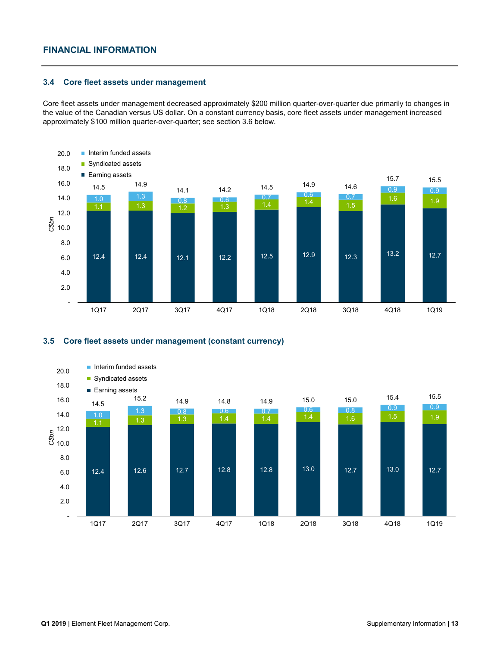#### **3.4 Core fleet assets under management**

Core fleet assets under management decreased approximately \$200 million quarter-over-quarter due primarily to changes in the value of the Canadian versus US dollar. On a constant currency basis, core fleet assets under management increased approximately \$100 million quarter-over-quarter; see section 3.6 below.



#### **3.5 Core fleet assets under management (constant currency)**

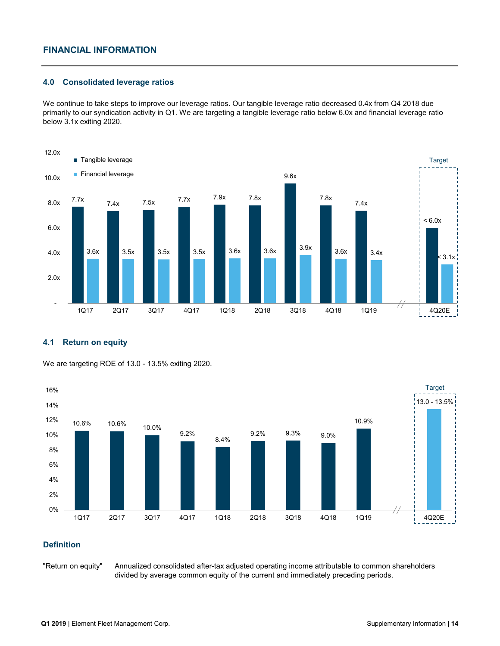#### **4.0 Consolidated leverage ratios**

We continue to take steps to improve our leverage ratios. Our tangible leverage ratio decreased 0.4x from Q4 2018 due primarily to our syndication activity in Q1. We are targeting a tangible leverage ratio below 6.0x and financial leverage ratio below 3.1x exiting 2020.



#### **4.1 Return on equity**



We are targeting ROE of 13.0 - 13.5% exiting 2020.

# **Definition**

"Return on equity"

Annualized consolidated after-tax adjusted operating income attributable to common shareholders divided by average common equity of the current and immediately preceding periods.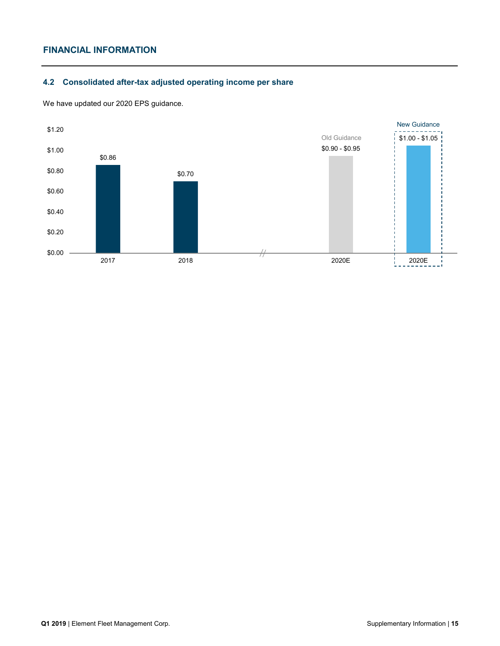# **4.2 Consolidated after-tax adjusted operating income per share**



We have updated our 2020 EPS guidance.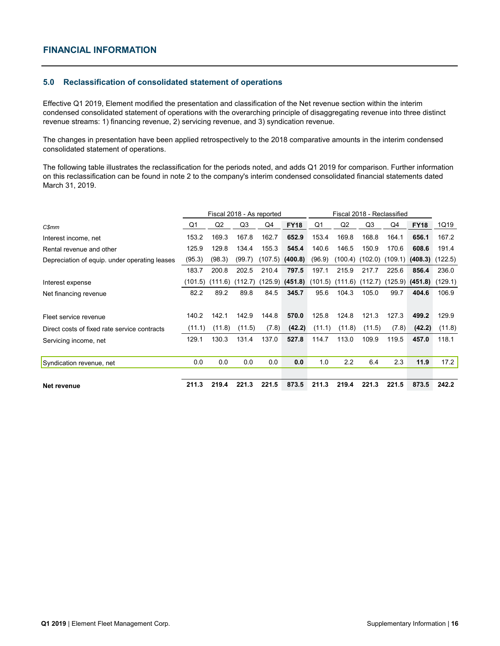#### **5.0 Reclassification of consolidated statement of operations**

Effective Q1 2019, Element modified the presentation and classification of the Net revenue section within the interim condensed consolidated statement of operations with the overarching principle of disaggregating revenue into three distinct revenue streams: 1) financing revenue, 2) servicing revenue, and 3) syndication revenue.

The changes in presentation have been applied retrospectively to the 2018 comparative amounts in the interim condensed consolidated statement of operations.

The following table illustrates the reclassification for the periods noted, and adds Q1 2019 for comparison. Further information on this reclassification can be found in note 2 to the company's interim condensed consolidated financial statements dated March 31, 2019.

|                                               |         |         | Fiscal 2018 - As reported |       |                                                                             | Fiscal 2018 - Reclassified |                |         |       |                             |        |
|-----------------------------------------------|---------|---------|---------------------------|-------|-----------------------------------------------------------------------------|----------------------------|----------------|---------|-------|-----------------------------|--------|
| <b>C\$mm</b>                                  | Q1      | Q2      | Q3                        | Q4    | <b>FY18</b>                                                                 | Q1                         | Q <sub>2</sub> | Q3      | Q4    | <b>FY18</b>                 | 1Q19   |
| Interest income, net                          | 153.2   | 169.3   | 167.8                     | 162.7 | 652.9                                                                       | 153.4                      | 169.8          | 168.8   | 164.1 | 656.1                       | 167.2  |
| Rental revenue and other                      | 125.9   | 129.8   | 134.4                     | 155.3 | 545.4                                                                       | 140.6                      | 146.5          | 150.9   | 170.6 | 608.6                       | 191.4  |
| Depreciation of equip. under operating leases | (95.3)  | (98.3)  | (99.7)                    |       | $(107.5)$ (400.8)                                                           | (96.9)                     | (100.4)        | (102.0) |       | $(109.1)$ (408.3) $(122.5)$ |        |
|                                               | 183.7   | 200.8   | 202.5                     | 210.4 | 797.5                                                                       | 197.1                      | 215.9          | 217.7   | 225.6 | 856.4                       | 236.0  |
| Interest expense                              | (101.5) | (111.6) | (112.7)                   |       | $(125.9)$ (451.8) $(101.5)$ $(111.6)$ $(112.7)$ $(125.9)$ (451.8) $(129.1)$ |                            |                |         |       |                             |        |
| Net financing revenue                         | 82.2    | 89.2    | 89.8                      | 84.5  | 345.7                                                                       | 95.6                       | 104.3          | 105.0   | 99.7  | 404.6                       | 106.9  |
|                                               |         |         |                           |       |                                                                             |                            |                |         |       |                             |        |
| Fleet service revenue                         | 140.2   | 142.1   | 142.9                     | 144.8 | 570.0                                                                       | 125.8                      | 124.8          | 121.3   | 127.3 | 499.2                       | 129.9  |
| Direct costs of fixed rate service contracts  | (11.1)  | (11.8)  | (11.5)                    | (7.8) | (42.2)                                                                      | (11.1)                     | (11.8)         | (11.5)  | (7.8) | (42.2)                      | (11.8) |
| Servicing income, net                         | 129.1   | 130.3   | 131.4                     | 137.0 | 527.8                                                                       | 114.7                      | 113.0          | 109.9   | 119.5 | 457.0                       | 118.1  |
|                                               |         |         |                           |       |                                                                             |                            |                |         |       |                             |        |
| Syndication revenue, net                      | 0.0     | 0.0     | 0.0                       | 0.0   | 0.0                                                                         | 1.0                        | 2.2            | 6.4     | 2.3   | 11.9                        | 17.2   |
|                                               |         |         |                           |       |                                                                             |                            |                |         |       |                             |        |
| Net revenue                                   | 211.3   | 219.4   | 221.3                     | 221.5 | 873.5                                                                       | 211.3                      | 219.4          | 221.3   | 221.5 | 873.5                       | 242.2  |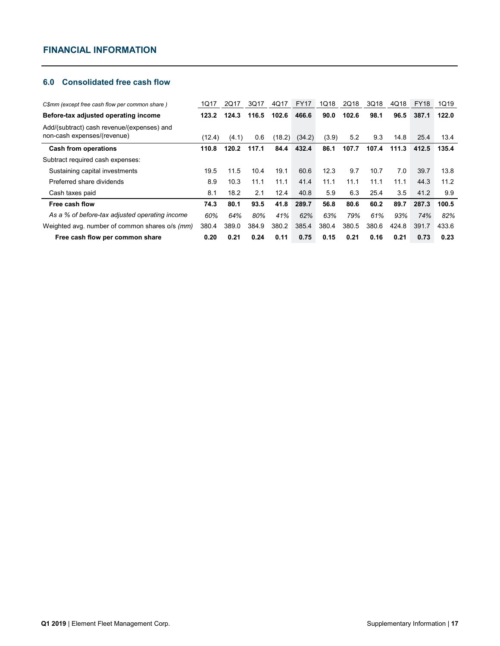# **6.0 Consolidated free cash flow**

| C\$mm (except free cash flow per common share)                            | 1Q17   | 2Q17  | 3Q17           | 4Q17   | FY17   | 1Q18  | 2Q18  | 3Q18  | 4Q18  | <b>FY18</b> | 1Q19  |
|---------------------------------------------------------------------------|--------|-------|----------------|--------|--------|-------|-------|-------|-------|-------------|-------|
| Before-tax adjusted operating income                                      | 123.2  | 124.3 | 116.5          | 102.6  | 466.6  | 90.0  | 102.6 | 98.1  | 96.5  | 387.1       | 122.0 |
| Add/(subtract) cash revenue/(expenses) and<br>non-cash expenses/(revenue) | (12.4) | (4.1) | 0.6            | (18.2) | (34.2) | (3.9) | 5.2   | 9.3   | 14.8  | 25.4        | 13.4  |
| <b>Cash from operations</b>                                               | 110.8  | 120.2 | 117.1          | 84.4   | 432.4  | 86.1  | 107.7 | 107.4 | 111.3 | 412.5       | 135.4 |
| Subtract required cash expenses:                                          |        |       |                |        |        |       |       |       |       |             |       |
| Sustaining capital investments                                            | 19.5   | 11.5  | 10.4           | 19.1   | 60.6   | 12.3  | 9.7   | 10.7  | 7.0   | 39.7        | 13.8  |
| Preferred share dividends                                                 | 8.9    | 10.3  | 11.1           | 11.1   | 41.4   | 11.1  | 11.1  | 11.1  | 11.1  | 44.3        | 11.2  |
| Cash taxes paid                                                           | 8.1    | 18.2  | 2 <sub>1</sub> | 12.4   | 40.8   | 5.9   | 6.3   | 25.4  | 3.5   | 41.2        | 9.9   |
| Free cash flow                                                            | 74.3   | 80.1  | 93.5           | 41.8   | 289.7  | 56.8  | 80.6  | 60.2  | 89.7  | 287.3       | 100.5 |
| As a % of before-tax adjusted operating income                            | 60%    | 64%   | 80%            | 41%    | 62%    | 63%   | 79%   | 61%   | 93%   | 74%         | 82%   |
| Weighted avg. number of common shares o/s (mm)                            | 380.4  | 389.0 | 384.9          | 380.2  | 385.4  | 380.4 | 380.5 | 380.6 | 424.8 | 391.7       | 433.6 |
| Free cash flow per common share                                           | 0.20   | 0.21  | 0.24           | 0.11   | 0.75   | 0.15  | 0.21  | 0.16  | 0.21  | 0.73        | 0.23  |